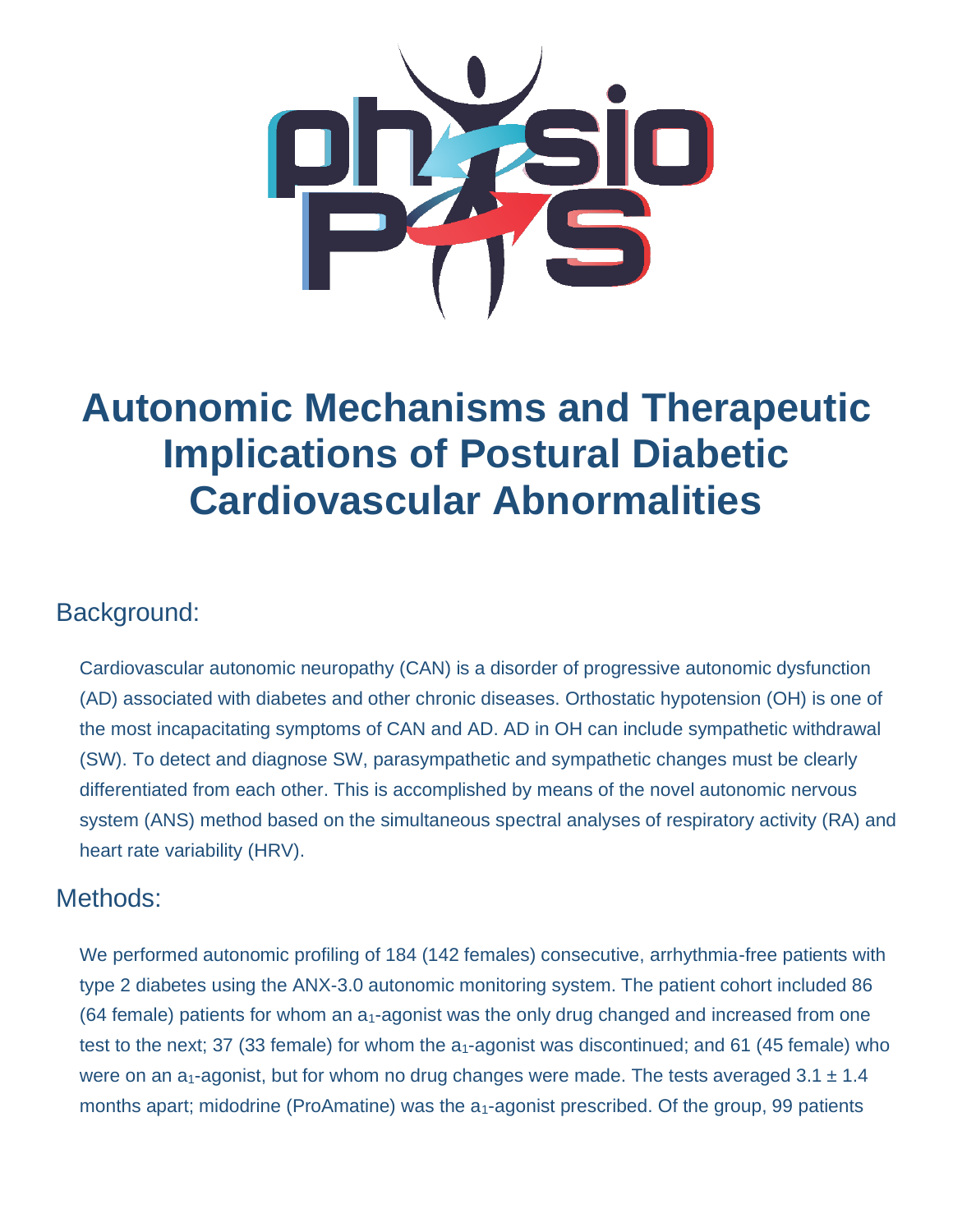

# **Autonomic Mechanisms and Therapeutic Implications of Postural Diabetic Cardiovascular Abnormalities**

## Background:

Cardiovascular autonomic neuropathy (CAN) is a disorder of progressive autonomic dysfunction (AD) associated with diabetes and other chronic diseases. Orthostatic hypotension (OH) is one of the most incapacitating symptoms of CAN and AD. AD in OH can include sympathetic withdrawal (SW). To detect and diagnose SW, parasympathetic and sympathetic changes must be clearly differentiated from each other. This is accomplished by means of the novel autonomic nervous system (ANS) method based on the simultaneous spectral analyses of respiratory activity (RA) and heart rate variability (HRV).

## Methods:

We performed autonomic profiling of 184 (142 females) consecutive, arrhythmia-free patients with type 2 diabetes using the ANX-3.0 autonomic monitoring system. The patient cohort included 86 (64 female) patients for whom an  $a_1$ -agonist was the only drug changed and increased from one test to the next; 37 (33 female) for whom the  $a_1$ -agonist was discontinued; and 61 (45 female) who were on an a<sub>1</sub>-agonist, but for whom no drug changes were made. The tests averaged 3.1  $\pm$  1.4 months apart; midodrine (ProAmatine) was the  $a_1$ -agonist prescribed. Of the group, 99 patients